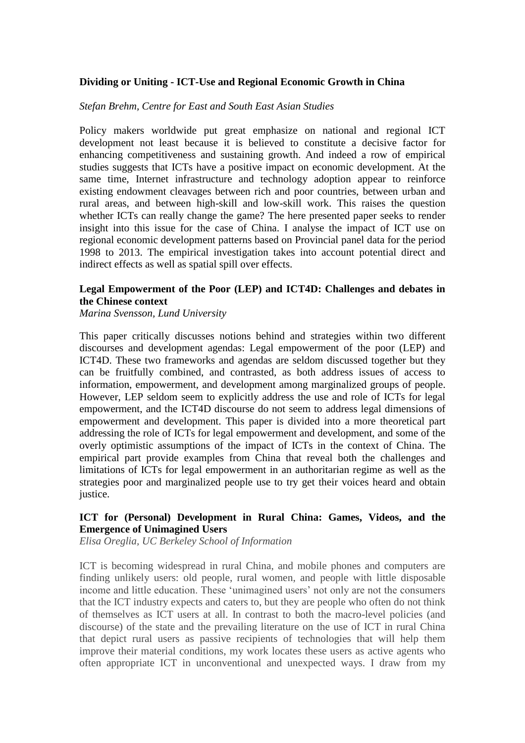### **Dividing or Uniting - ICT-Use and Regional Economic Growth in China**

### *Stefan Brehm, Centre for East and South East Asian Studies*

Policy makers worldwide put great emphasize on national and regional ICT development not least because it is believed to constitute a decisive factor for enhancing competitiveness and sustaining growth. And indeed a row of empirical studies suggests that ICTs have a positive impact on economic development. At the same time, Internet infrastructure and technology adoption appear to reinforce existing endowment cleavages between rich and poor countries, between urban and rural areas, and between high-skill and low-skill work. This raises the question whether ICTs can really change the game? The here presented paper seeks to render insight into this issue for the case of China. I analyse the impact of ICT use on regional economic development patterns based on Provincial panel data for the period 1998 to 2013. The empirical investigation takes into account potential direct and indirect effects as well as spatial spill over effects.

# **Legal Empowerment of the Poor (LEP) and ICT4D: Challenges and debates in the Chinese context**

*Marina Svensson, Lund University*

This paper critically discusses notions behind and strategies within two different discourses and development agendas: Legal empowerment of the poor (LEP) and ICT4D. These two frameworks and agendas are seldom discussed together but they can be fruitfully combined, and contrasted, as both address issues of access to information, empowerment, and development among marginalized groups of people. However, LEP seldom seem to explicitly address the use and role of ICTs for legal empowerment, and the ICT4D discourse do not seem to address legal dimensions of empowerment and development. This paper is divided into a more theoretical part addressing the role of ICTs for legal empowerment and development, and some of the overly optimistic assumptions of the impact of ICTs in the context of China. The empirical part provide examples from China that reveal both the challenges and limitations of ICTs for legal empowerment in an authoritarian regime as well as the strategies poor and marginalized people use to try get their voices heard and obtain justice.

# **ICT for (Personal) Development in Rural China: Games, Videos, and the Emergence of Unimagined Users**

*Elisa Oreglia, UC Berkeley School of Information*

ICT is becoming widespread in rural China, and mobile phones and computers are finding unlikely users: old people, rural women, and people with little disposable income and little education. These 'unimagined users' not only are not the consumers that the ICT industry expects and caters to, but they are people who often do not think of themselves as ICT users at all. In contrast to both the macro-level policies (and discourse) of the state and the prevailing literature on the use of ICT in rural China that depict rural users as passive recipients of technologies that will help them improve their material conditions, my work locates these users as active agents who often appropriate ICT in unconventional and unexpected ways. I draw from my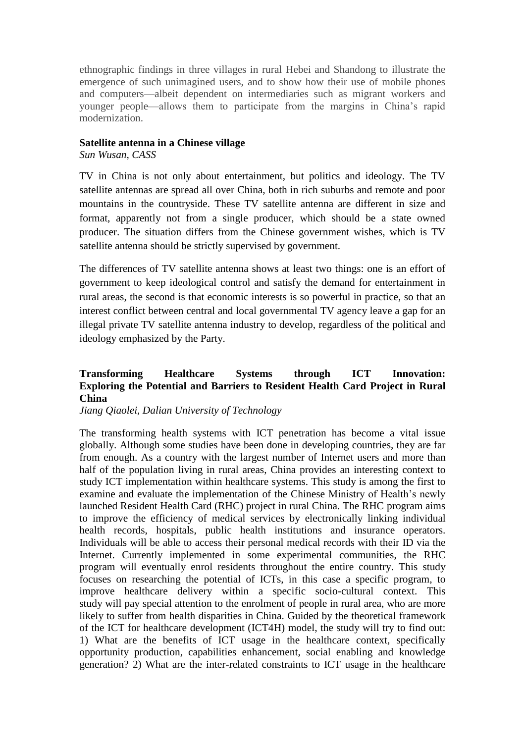ethnographic findings in three villages in rural Hebei and Shandong to illustrate the emergence of such unimagined users, and to show how their use of mobile phones and computers—albeit dependent on intermediaries such as migrant workers and younger people—allows them to participate from the margins in China's rapid modernization.

### **Satellite antenna in a Chinese village**

*Sun Wusan, CASS*

TV in China is not only about entertainment, but politics and ideology. The TV satellite antennas are spread all over China, both in rich suburbs and remote and poor mountains in the countryside. These TV satellite antenna are different in size and format, apparently not from a single producer, which should be a state owned producer. The situation differs from the Chinese government wishes, which is TV satellite antenna should be strictly supervised by government.

The differences of TV satellite antenna shows at least two things: one is an effort of government to keep ideological control and satisfy the demand for entertainment in rural areas, the second is that economic interests is so powerful in practice, so that an interest conflict between central and local governmental TV agency leave a gap for an illegal private TV satellite antenna industry to develop, regardless of the political and ideology emphasized by the Party.

# **Transforming Healthcare Systems through ICT Innovation: Exploring the Potential and Barriers to Resident Health Card Project in Rural China**

*Jiang Qiaolei, Dalian University of Technology*

The transforming health systems with ICT penetration has become a vital issue globally. Although some studies have been done in developing countries, they are far from enough. As a country with the largest number of Internet users and more than half of the population living in rural areas, China provides an interesting context to study ICT implementation within healthcare systems. This study is among the first to examine and evaluate the implementation of the Chinese Ministry of Health's newly launched Resident Health Card (RHC) project in rural China. The RHC program aims to improve the efficiency of medical services by electronically linking individual health records, hospitals, public health institutions and insurance operators. Individuals will be able to access their personal medical records with their ID via the Internet. Currently implemented in some experimental communities, the RHC program will eventually enrol residents throughout the entire country. This study focuses on researching the potential of ICTs, in this case a specific program, to improve healthcare delivery within a specific socio-cultural context. This study will pay special attention to the enrolment of people in rural area, who are more likely to suffer from health disparities in China. Guided by the theoretical framework of the ICT for healthcare development (ICT4H) model, the study will try to find out: 1) What are the benefits of ICT usage in the healthcare context, specifically opportunity production, capabilities enhancement, social enabling and knowledge generation? 2) What are the inter-related constraints to ICT usage in the healthcare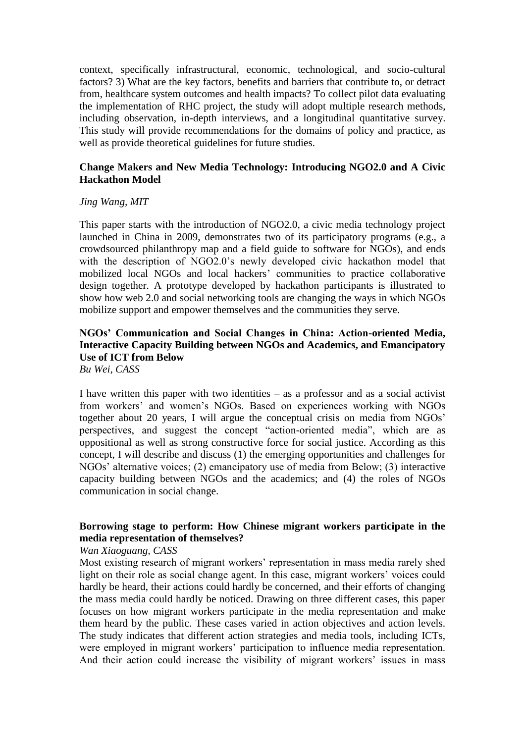context, specifically infrastructural, economic, technological, and socio-cultural factors? 3) What are the key factors, benefits and barriers that contribute to, or detract from, healthcare system outcomes and health impacts? To collect pilot data evaluating the implementation of RHC project, the study will adopt multiple research methods, including observation, in-depth interviews, and a longitudinal quantitative survey. This study will provide recommendations for the domains of policy and practice, as well as provide theoretical guidelines for future studies.

# **Change Makers and New Media Technology: Introducing NGO2.0 and A Civic Hackathon Model**

### *Jing Wang, MIT*

This paper starts with the introduction of NGO2.0, a civic media technology project launched in China in 2009, demonstrates two of its participatory programs (e.g., a crowdsourced philanthropy map and a field guide to software for NGOs), and ends with the description of NGO2.0's newly developed civic hackathon model that mobilized local NGOs and local hackers' communities to practice collaborative design together. A prototype developed by hackathon participants is illustrated to show how web 2.0 and social networking tools are changing the ways in which NGOs mobilize support and empower themselves and the communities they serve.

# **NGOs' Communication and Social Changes in China: Action-oriented Media, Interactive Capacity Building between NGOs and Academics, and Emancipatory Use of ICT from Below**

*Bu Wei, CASS*

I have written this paper with two identities – as a professor and as a social activist from workers' and women's NGOs. Based on experiences working with NGOs together about 20 years, I will argue the conceptual crisis on media from NGOs' perspectives, and suggest the concept "action-oriented media", which are as oppositional as well as strong constructive force for social justice. According as this concept, I will describe and discuss (1) the emerging opportunities and challenges for NGOs' alternative voices; (2) emancipatory use of media from Below; (3) interactive capacity building between NGOs and the academics; and (4) the roles of NGOs communication in social change.

# **Borrowing stage to perform: How Chinese migrant workers participate in the media representation of themselves?**

#### *Wan Xiaoguang, CASS*

Most existing research of migrant workers' representation in mass media rarely shed light on their role as social change agent. In this case, migrant workers' voices could hardly be heard, their actions could hardly be concerned, and their efforts of changing the mass media could hardly be noticed. Drawing on three different cases, this paper focuses on how migrant workers participate in the media representation and make them heard by the public. These cases varied in action objectives and action levels. The study indicates that different action strategies and media tools, including ICTs, were employed in migrant workers' participation to influence media representation. And their action could increase the visibility of migrant workers' issues in mass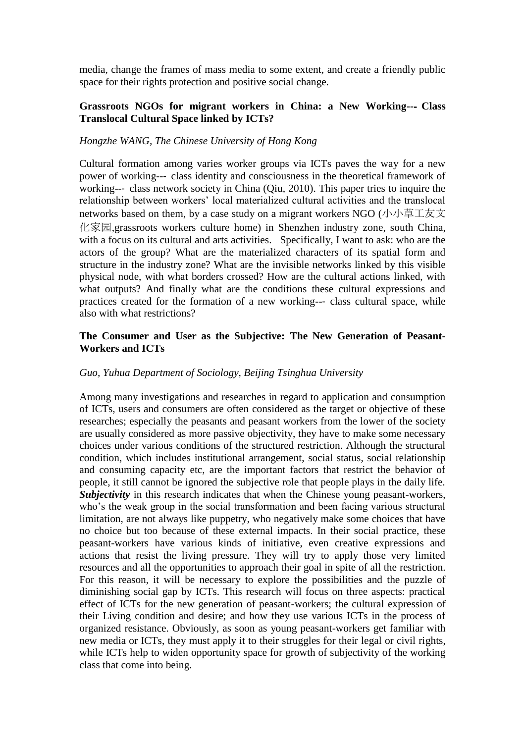media, change the frames of mass media to some extent, and create a friendly public space for their rights protection and positive social change.

# **Grassroots NGOs for migrant workers in China: a New Working--**‐ **Class Translocal Cultural Space linked by ICTs?**

### *Hongzhe WANG, The Chinese University of Hong Kong*

Cultural formation among varies worker groups via ICTs paves the way for a new power of working--‐ class identity and consciousness in the theoretical framework of working--- class network society in China (Qiu, 2010). This paper tries to inquire the relationship between workers' local materialized cultural activities and the translocal networks based on them, by a case study on a migrant workers NGO (小小草工友文 化家园,grassroots workers culture home) in Shenzhen industry zone, south China, with a focus on its cultural and arts activities. Specifically, I want to ask: who are the actors of the group? What are the materialized characters of its spatial form and structure in the industry zone? What are the invisible networks linked by this visible physical node, with what borders crossed? How are the cultural actions linked, with what outputs? And finally what are the conditions these cultural expressions and practices created for the formation of a new working--- class cultural space, while also with what restrictions?

### **The Consumer and User as the Subjective: The New Generation of Peasant-Workers and ICTs**

# *Guo, Yuhua Department of Sociology, Beijing Tsinghua University*

Among many investigations and researches in regard to application and consumption of ICTs, users and consumers are often considered as the target or objective of these researches; especially the peasants and peasant workers from the lower of the society are usually considered as more passive objectivity, they have to make some necessary choices under various conditions of the structured restriction. Although the structural condition, which includes institutional arrangement, social status, social relationship and consuming capacity etc, are the important factors that restrict the behavior of people, it still cannot be ignored the subjective role that people plays in the daily life. *Subjectivity* in this research indicates that when the Chinese young peasant-workers, who's the weak group in the social transformation and been facing various structural limitation, are not always like puppetry, who negatively make some choices that have no choice but too because of these external impacts. In their social practice, these peasant-workers have various kinds of initiative, even creative expressions and actions that resist the living pressure. They will try to apply those very limited resources and all the opportunities to approach their goal in spite of all the restriction. For this reason, it will be necessary to explore the possibilities and the puzzle of diminishing social gap by ICTs. This research will focus on three aspects: practical effect of ICTs for the new generation of peasant-workers; the cultural expression of their Living condition and desire; and how they use various ICTs in the process of organized resistance. Obviously, as soon as young peasant-workers get familiar with new media or ICTs, they must apply it to their struggles for their legal or civil rights, while ICTs help to widen opportunity space for growth of subjectivity of the working class that come into being.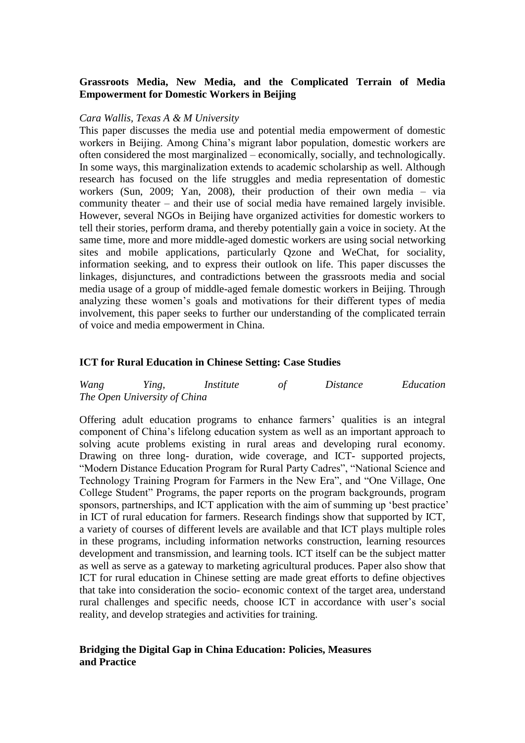# **Grassroots Media, New Media, and the Complicated Terrain of Media Empowerment for Domestic Workers in Beijing**

#### *Cara Wallis, Texas A & M University*

This paper discusses the media use and potential media empowerment of domestic workers in Beijing. Among China's migrant labor population, domestic workers are often considered the most marginalized – economically, socially, and technologically. In some ways, this marginalization extends to academic scholarship as well. Although research has focused on the life struggles and media representation of domestic workers (Sun, 2009; Yan, 2008), their production of their own media – via community theater – and their use of social media have remained largely invisible. However, several NGOs in Beijing have organized activities for domestic workers to tell their stories, perform drama, and thereby potentially gain a voice in society. At the same time, more and more middle-aged domestic workers are using social networking sites and mobile applications, particularly Qzone and WeChat, for sociality, information seeking, and to express their outlook on life. This paper discusses the linkages, disjunctures, and contradictions between the grassroots media and social media usage of a group of middle-aged female domestic workers in Beijing. Through analyzing these women's goals and motivations for their different types of media involvement, this paper seeks to further our understanding of the complicated terrain of voice and media empowerment in China.

### **ICT for Rural Education in Chinese Setting: Case Studies**

| Wang | Ying,                        | Institute | Distance | Education |
|------|------------------------------|-----------|----------|-----------|
|      | The Open University of China |           |          |           |

Offering adult education programs to enhance farmers' qualities is an integral component of China's lifelong education system as well as an important approach to solving acute problems existing in rural areas and developing rural economy. Drawing on three long- duration, wide coverage, and ICT- supported projects, "Modern Distance Education Program for Rural Party Cadres", "National Science and Technology Training Program for Farmers in the New Era", and "One Village, One College Student" Programs, the paper reports on the program backgrounds, program sponsors, partnerships, and ICT application with the aim of summing up 'best practice' in ICT of rural education for farmers. Research findings show that supported by ICT, a variety of courses of different levels are available and that ICT plays multiple roles in these programs, including information networks construction, learning resources development and transmission, and learning tools. ICT itself can be the subject matter as well as serve as a gateway to marketing agricultural produces. Paper also show that ICT for rural education in Chinese setting are made great efforts to define objectives that take into consideration the socio- economic context of the target area, understand rural challenges and specific needs, choose ICT in accordance with user's social reality, and develop strategies and activities for training.

### **Bridging the Digital Gap in China Education: Policies, Measures and Practice**